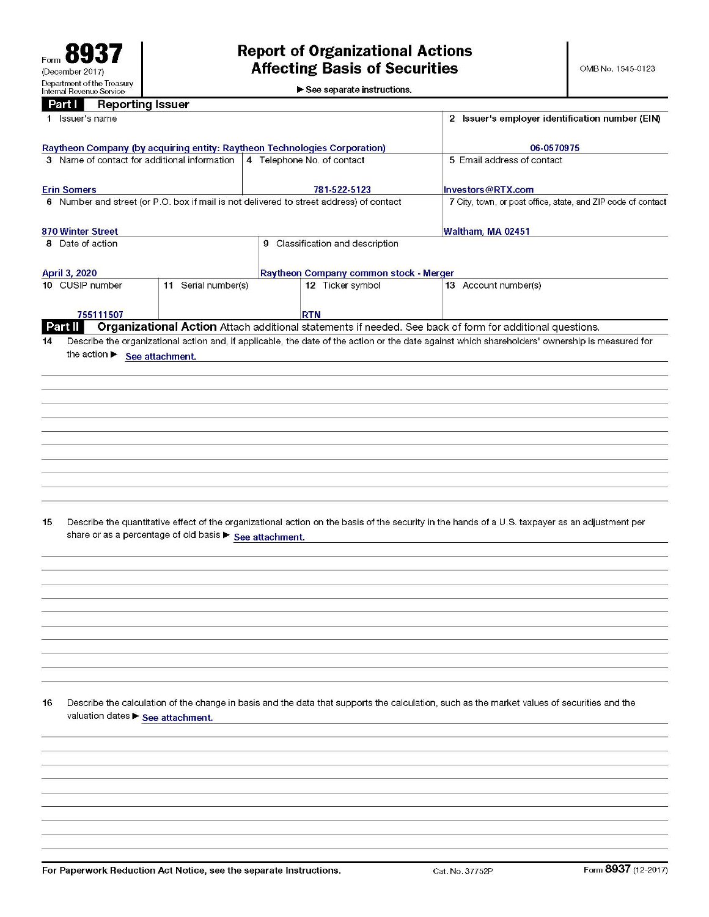$\blacktriangleright$  See separate instructions.

|    | <b>Reporting Issuer</b><br>Part I                                         |                     |                                                                                         |                                                                                                                                                                                                                                                             |
|----|---------------------------------------------------------------------------|---------------------|-----------------------------------------------------------------------------------------|-------------------------------------------------------------------------------------------------------------------------------------------------------------------------------------------------------------------------------------------------------------|
|    | 1 Issuer's name                                                           |                     | 2 Issuer's employer identification number (EIN)                                         |                                                                                                                                                                                                                                                             |
|    | Raytheon Company (by acquiring entity: Raytheon Technologies Corporation) |                     | 06-0570975                                                                              |                                                                                                                                                                                                                                                             |
|    | 3 Name of contact for additional information                              |                     | 4 Telephone No. of contact                                                              | 5 Email address of contact                                                                                                                                                                                                                                  |
|    | <b>Erin Somers</b>                                                        |                     | 781-522-5123                                                                            | Investors@RTX.com                                                                                                                                                                                                                                           |
|    |                                                                           |                     | 6 Number and street (or P.O. box if mail is not delivered to street address) of contact | 7 City, town, or post office, state, and ZIP code of contact                                                                                                                                                                                                |
|    | <b>870 Winter Street</b>                                                  |                     |                                                                                         | Waltham, MA 02451                                                                                                                                                                                                                                           |
|    | 8 Date of action                                                          |                     | 9 Classification and description                                                        |                                                                                                                                                                                                                                                             |
|    |                                                                           |                     |                                                                                         |                                                                                                                                                                                                                                                             |
|    | <b>April 3, 2020</b>                                                      |                     | Raytheon Company common stock - Merger                                                  |                                                                                                                                                                                                                                                             |
|    | 10 CUSIP number                                                           | 11 Serial number(s) | 12 Ticker symbol                                                                        | 13 Account number(s)                                                                                                                                                                                                                                        |
|    | 755111507                                                                 |                     | <b>RTN</b>                                                                              |                                                                                                                                                                                                                                                             |
| 14 | Part II<br>the action > See attachment.                                   |                     |                                                                                         | Organizational Action Attach additional statements if needed. See back of form for additional questions.<br>Describe the organizational action and, if applicable, the date of the action or the date against which shareholders' ownership is measured for |
|    |                                                                           |                     |                                                                                         |                                                                                                                                                                                                                                                             |
|    |                                                                           |                     |                                                                                         |                                                                                                                                                                                                                                                             |
|    |                                                                           |                     |                                                                                         |                                                                                                                                                                                                                                                             |
|    |                                                                           |                     |                                                                                         |                                                                                                                                                                                                                                                             |
|    |                                                                           |                     |                                                                                         |                                                                                                                                                                                                                                                             |
|    |                                                                           |                     |                                                                                         |                                                                                                                                                                                                                                                             |
|    |                                                                           |                     |                                                                                         |                                                                                                                                                                                                                                                             |
|    |                                                                           |                     |                                                                                         |                                                                                                                                                                                                                                                             |
| 15 | share or as a percentage of old basis > See attachment.                   |                     |                                                                                         | Describe the quantitative effect of the organizational action on the basis of the security in the hands of a U.S. taxpayer as an adjustment per                                                                                                             |
|    |                                                                           |                     |                                                                                         |                                                                                                                                                                                                                                                             |
|    |                                                                           |                     |                                                                                         |                                                                                                                                                                                                                                                             |
|    |                                                                           |                     |                                                                                         |                                                                                                                                                                                                                                                             |
|    |                                                                           |                     |                                                                                         |                                                                                                                                                                                                                                                             |
|    |                                                                           |                     |                                                                                         |                                                                                                                                                                                                                                                             |
|    |                                                                           |                     |                                                                                         |                                                                                                                                                                                                                                                             |
|    |                                                                           |                     |                                                                                         |                                                                                                                                                                                                                                                             |
|    |                                                                           |                     |                                                                                         |                                                                                                                                                                                                                                                             |
|    |                                                                           |                     |                                                                                         |                                                                                                                                                                                                                                                             |
|    |                                                                           |                     |                                                                                         |                                                                                                                                                                                                                                                             |
| 16 | valuation dates > See attachment.                                         |                     |                                                                                         | Describe the calculation of the change in basis and the data that supports the calculation, such as the market values of securities and the                                                                                                                 |
|    |                                                                           |                     |                                                                                         |                                                                                                                                                                                                                                                             |
|    |                                                                           |                     |                                                                                         |                                                                                                                                                                                                                                                             |
|    |                                                                           |                     |                                                                                         |                                                                                                                                                                                                                                                             |
|    |                                                                           |                     |                                                                                         |                                                                                                                                                                                                                                                             |
|    |                                                                           |                     |                                                                                         |                                                                                                                                                                                                                                                             |
|    |                                                                           |                     |                                                                                         |                                                                                                                                                                                                                                                             |
|    |                                                                           |                     |                                                                                         |                                                                                                                                                                                                                                                             |
|    |                                                                           |                     |                                                                                         |                                                                                                                                                                                                                                                             |
|    |                                                                           |                     |                                                                                         |                                                                                                                                                                                                                                                             |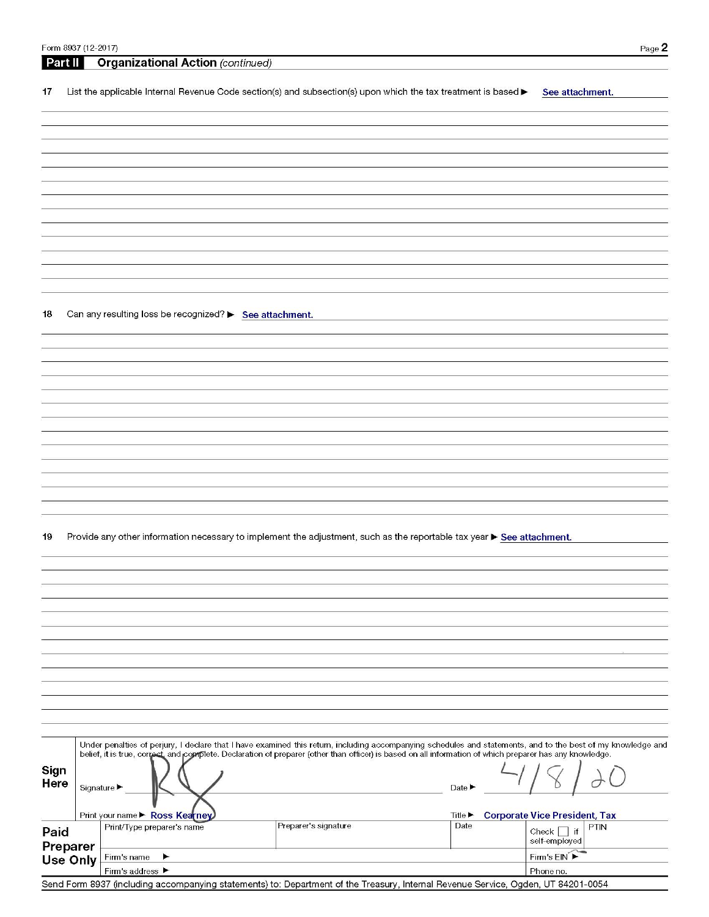| Part II      |          | <b>Organizational Action</b> (continued)                                                                                           |                            |  |                      |  |                        |                                                                                                                                                          |                                                                                                                                                              |
|--------------|----------|------------------------------------------------------------------------------------------------------------------------------------|----------------------------|--|----------------------|--|------------------------|----------------------------------------------------------------------------------------------------------------------------------------------------------|--------------------------------------------------------------------------------------------------------------------------------------------------------------|
| 17           |          | List the applicable Internal Revenue Code section(s) and subsection(s) upon which the tax treatment is based $\blacktriangleright$ |                            |  |                      |  |                        | See attachment.                                                                                                                                          |                                                                                                                                                              |
|              |          |                                                                                                                                    |                            |  |                      |  |                        |                                                                                                                                                          |                                                                                                                                                              |
|              |          |                                                                                                                                    |                            |  |                      |  |                        |                                                                                                                                                          |                                                                                                                                                              |
|              |          |                                                                                                                                    |                            |  |                      |  |                        |                                                                                                                                                          |                                                                                                                                                              |
|              |          |                                                                                                                                    |                            |  |                      |  |                        |                                                                                                                                                          |                                                                                                                                                              |
|              |          |                                                                                                                                    |                            |  |                      |  |                        |                                                                                                                                                          |                                                                                                                                                              |
|              |          |                                                                                                                                    |                            |  |                      |  |                        |                                                                                                                                                          |                                                                                                                                                              |
|              |          |                                                                                                                                    |                            |  |                      |  |                        |                                                                                                                                                          |                                                                                                                                                              |
|              |          |                                                                                                                                    |                            |  |                      |  |                        |                                                                                                                                                          |                                                                                                                                                              |
|              |          |                                                                                                                                    |                            |  |                      |  |                        |                                                                                                                                                          |                                                                                                                                                              |
|              |          |                                                                                                                                    |                            |  |                      |  |                        |                                                                                                                                                          |                                                                                                                                                              |
|              |          |                                                                                                                                    |                            |  |                      |  |                        |                                                                                                                                                          |                                                                                                                                                              |
|              |          |                                                                                                                                    |                            |  |                      |  |                        |                                                                                                                                                          |                                                                                                                                                              |
|              |          |                                                                                                                                    |                            |  |                      |  |                        |                                                                                                                                                          |                                                                                                                                                              |
|              |          |                                                                                                                                    |                            |  |                      |  |                        |                                                                                                                                                          |                                                                                                                                                              |
| 18           |          | Can any resulting loss be recognized? > See attachment.                                                                            |                            |  |                      |  |                        |                                                                                                                                                          |                                                                                                                                                              |
|              |          |                                                                                                                                    |                            |  |                      |  |                        |                                                                                                                                                          |                                                                                                                                                              |
|              |          |                                                                                                                                    |                            |  |                      |  |                        |                                                                                                                                                          |                                                                                                                                                              |
|              |          |                                                                                                                                    |                            |  |                      |  |                        |                                                                                                                                                          |                                                                                                                                                              |
|              |          |                                                                                                                                    |                            |  |                      |  |                        |                                                                                                                                                          |                                                                                                                                                              |
|              |          |                                                                                                                                    |                            |  |                      |  |                        |                                                                                                                                                          |                                                                                                                                                              |
|              |          |                                                                                                                                    |                            |  |                      |  |                        |                                                                                                                                                          |                                                                                                                                                              |
|              |          |                                                                                                                                    |                            |  |                      |  |                        |                                                                                                                                                          |                                                                                                                                                              |
|              |          |                                                                                                                                    |                            |  |                      |  |                        |                                                                                                                                                          |                                                                                                                                                              |
|              |          |                                                                                                                                    |                            |  |                      |  |                        |                                                                                                                                                          |                                                                                                                                                              |
|              |          |                                                                                                                                    |                            |  |                      |  |                        |                                                                                                                                                          |                                                                                                                                                              |
|              |          |                                                                                                                                    |                            |  |                      |  |                        |                                                                                                                                                          |                                                                                                                                                              |
|              |          |                                                                                                                                    |                            |  |                      |  |                        |                                                                                                                                                          |                                                                                                                                                              |
| 19           |          | Provide any other information necessary to implement the adjustment, such as the reportable tax year > See attachment.             |                            |  |                      |  |                        |                                                                                                                                                          |                                                                                                                                                              |
|              |          |                                                                                                                                    |                            |  |                      |  |                        |                                                                                                                                                          |                                                                                                                                                              |
|              |          |                                                                                                                                    |                            |  |                      |  |                        |                                                                                                                                                          |                                                                                                                                                              |
|              |          |                                                                                                                                    |                            |  |                      |  |                        |                                                                                                                                                          |                                                                                                                                                              |
|              |          |                                                                                                                                    |                            |  |                      |  |                        |                                                                                                                                                          |                                                                                                                                                              |
|              |          |                                                                                                                                    |                            |  |                      |  |                        |                                                                                                                                                          |                                                                                                                                                              |
|              |          |                                                                                                                                    |                            |  |                      |  |                        |                                                                                                                                                          |                                                                                                                                                              |
|              |          |                                                                                                                                    |                            |  |                      |  |                        |                                                                                                                                                          |                                                                                                                                                              |
|              |          |                                                                                                                                    |                            |  |                      |  |                        |                                                                                                                                                          |                                                                                                                                                              |
|              |          |                                                                                                                                    |                            |  |                      |  |                        |                                                                                                                                                          |                                                                                                                                                              |
|              |          |                                                                                                                                    |                            |  |                      |  |                        |                                                                                                                                                          |                                                                                                                                                              |
|              |          |                                                                                                                                    |                            |  |                      |  |                        |                                                                                                                                                          |                                                                                                                                                              |
|              |          |                                                                                                                                    |                            |  |                      |  |                        |                                                                                                                                                          |                                                                                                                                                              |
|              |          |                                                                                                                                    |                            |  |                      |  |                        |                                                                                                                                                          |                                                                                                                                                              |
|              |          |                                                                                                                                    |                            |  |                      |  |                        |                                                                                                                                                          |                                                                                                                                                              |
|              |          |                                                                                                                                    |                            |  |                      |  |                        | belief, it is true, correct, and complete. Declaration of preparer (other than officer) is based on all information of which preparer has any knowledge. | Under penalties of perjury, I declare that I have examined this return, including accompanying schedules and statements, and to the best of my knowledge and |
|              |          |                                                                                                                                    |                            |  |                      |  |                        |                                                                                                                                                          |                                                                                                                                                              |
| Sign<br>Here |          |                                                                                                                                    |                            |  |                      |  |                        |                                                                                                                                                          |                                                                                                                                                              |
|              |          | Signature ▶                                                                                                                        |                            |  |                      |  | Date <b>P</b>          |                                                                                                                                                          |                                                                                                                                                              |
|              |          |                                                                                                                                    |                            |  |                      |  |                        |                                                                                                                                                          |                                                                                                                                                              |
|              |          | Print your name Ross Kearney                                                                                                       |                            |  |                      |  | $Title \triangleright$ | <b>Corporate Vice President, Tax</b>                                                                                                                     |                                                                                                                                                              |
| Paid         |          |                                                                                                                                    | Print/Type preparer's name |  | Preparer's signature |  | Date                   | Check<br>if<br>self-employed                                                                                                                             | PTIN                                                                                                                                                         |
|              | Preparer | Firm's name                                                                                                                        | ▶                          |  |                      |  |                        | Firm's EIN                                                                                                                                               |                                                                                                                                                              |
|              | Use Only | Firm's address ▶                                                                                                                   |                            |  |                      |  |                        | Phone no.                                                                                                                                                |                                                                                                                                                              |
|              |          |                                                                                                                                    |                            |  |                      |  |                        |                                                                                                                                                          |                                                                                                                                                              |

Form 8937 (12-2017)

**STATISTIC** 

Send Form 8937 (including accompanying statements) to: Department of the Treasury, Internal Revenue Service, Ogden, UT 84201-0054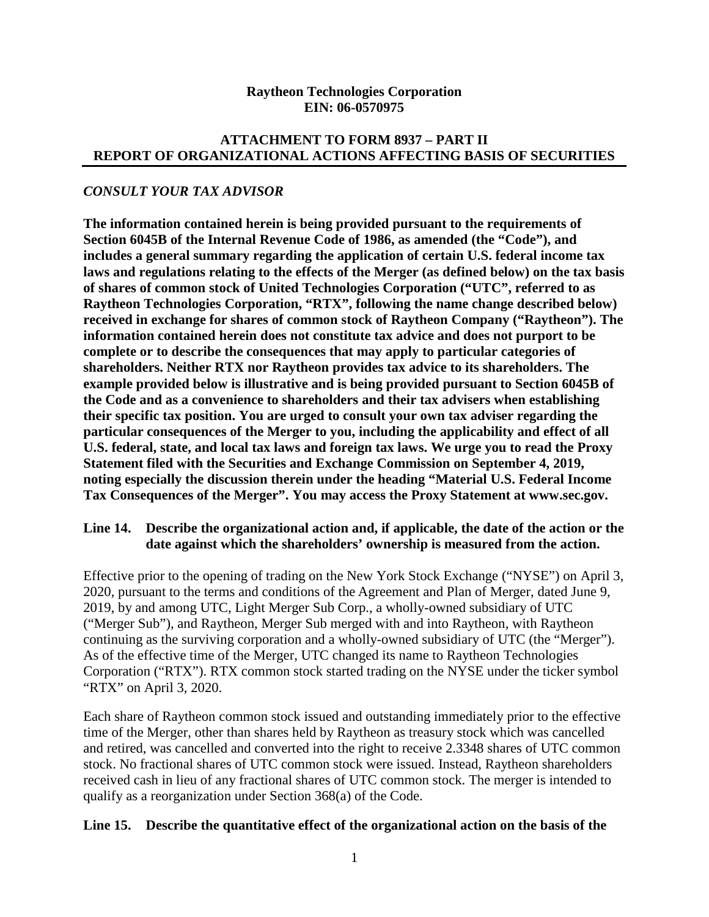#### **Raytheon Technologies Corporation EIN: 06-0570975**

# **ATTACHMENT TO FORM 8937 – PART II REPORT OF ORGANIZATIONAL ACTIONS AFFECTING BASIS OF SECURITIES**

## *CONSULT YOUR TAX ADVISOR*

**The information contained herein is being provided pursuant to the requirements of Section 6045B of the Internal Revenue Code of 1986, as amended (the "Code"), and includes a general summary regarding the application of certain U.S. federal income tax laws and regulations relating to the effects of the Merger (as defined below) on the tax basis of shares of common stock of United Technologies Corporation ("UTC", referred to as Raytheon Technologies Corporation, "RTX", following the name change described below) received in exchange for shares of common stock of Raytheon Company ("Raytheon"). The information contained herein does not constitute tax advice and does not purport to be complete or to describe the consequences that may apply to particular categories of shareholders. Neither RTX nor Raytheon provides tax advice to its shareholders. The example provided below is illustrative and is being provided pursuant to Section 6045B of the Code and as a convenience to shareholders and their tax advisers when establishing their specific tax position. You are urged to consult your own tax adviser regarding the particular consequences of the Merger to you, including the applicability and effect of all U.S. federal, state, and local tax laws and foreign tax laws. We urge you to read the Proxy Statement filed with the Securities and Exchange Commission on September 4, 2019, noting especially the discussion therein under the heading "Material U.S. Federal Income Tax Consequences of the Merger". You may access the Proxy Statement at www.sec.gov.** 

### **Line 14. Describe the organizational action and, if applicable, the date of the action or the date against which the shareholders' ownership is measured from the action.**

Effective prior to the opening of trading on the New York Stock Exchange ("NYSE") on April 3, 2020, pursuant to the terms and conditions of the Agreement and Plan of Merger, dated June 9, 2019, by and among UTC, Light Merger Sub Corp., a wholly-owned subsidiary of UTC ("Merger Sub"), and Raytheon, Merger Sub merged with and into Raytheon, with Raytheon continuing as the surviving corporation and a wholly-owned subsidiary of UTC (the "Merger"). As of the effective time of the Merger, UTC changed its name to Raytheon Technologies Corporation ("RTX"). RTX common stock started trading on the NYSE under the ticker symbol "RTX" on April 3, 2020.

Each share of Raytheon common stock issued and outstanding immediately prior to the effective time of the Merger, other than shares held by Raytheon as treasury stock which was cancelled and retired, was cancelled and converted into the right to receive 2.3348 shares of UTC common stock. No fractional shares of UTC common stock were issued. Instead, Raytheon shareholders received cash in lieu of any fractional shares of UTC common stock. The merger is intended to qualify as a reorganization under Section 368(a) of the Code.

#### **Line 15. Describe the quantitative effect of the organizational action on the basis of the**